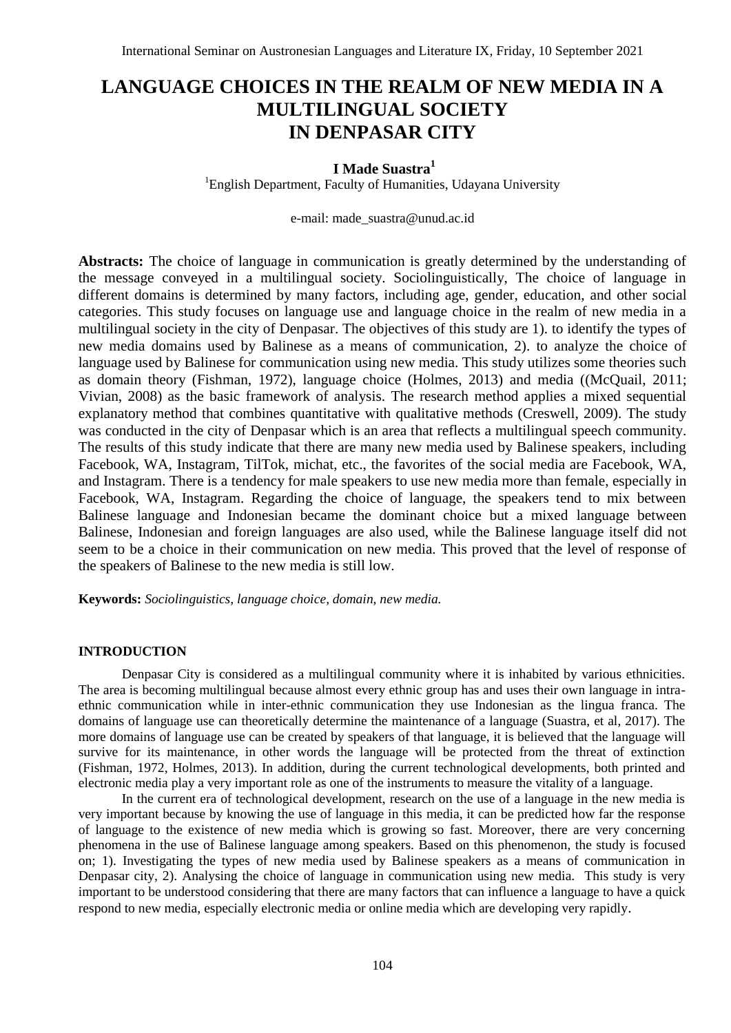# **LANGUAGE CHOICES IN THE REALM OF NEW MEDIA IN A MULTILINGUAL SOCIETY IN DENPASAR CITY**

# **I Made Suastra<sup>1</sup>**

<sup>1</sup>English Department, Faculty of Humanities, Udayana University

e-mail: made\_suastra@unud.ac.id

**Abstracts:** The choice of language in communication is greatly determined by the understanding of the message conveyed in a multilingual society. Sociolinguistically, The choice of language in different domains is determined by many factors, including age, gender, education, and other social categories. This study focuses on language use and language choice in the realm of new media in a multilingual society in the city of Denpasar. The objectives of this study are 1). to identify the types of new media domains used by Balinese as a means of communication, 2). to analyze the choice of language used by Balinese for communication using new media. This study utilizes some theories such as domain theory (Fishman, 1972), language choice (Holmes, 2013) and media ((McQuail, 2011; Vivian, 2008) as the basic framework of analysis. The research method applies a mixed sequential explanatory method that combines quantitative with qualitative methods (Creswell, 2009). The study was conducted in the city of Denpasar which is an area that reflects a multilingual speech community. The results of this study indicate that there are many new media used by Balinese speakers, including Facebook, WA, Instagram, TilTok, michat, etc., the favorites of the social media are Facebook, WA, and Instagram. There is a tendency for male speakers to use new media more than female, especially in Facebook, WA, Instagram. Regarding the choice of language, the speakers tend to mix between Balinese language and Indonesian became the dominant choice but a mixed language between Balinese, Indonesian and foreign languages are also used, while the Balinese language itself did not seem to be a choice in their communication on new media. This proved that the level of response of the speakers of Balinese to the new media is still low.

**Keywords:** *Sociolinguistics, language choice, domain, new media.*

#### **INTRODUCTION**

Denpasar City is considered as a multilingual community where it is inhabited by various ethnicities. The area is becoming multilingual because almost every ethnic group has and uses their own language in intraethnic communication while in inter-ethnic communication they use Indonesian as the lingua franca. The domains of language use can theoretically determine the maintenance of a language (Suastra, et al, 2017). The more domains of language use can be created by speakers of that language, it is believed that the language will survive for its maintenance, in other words the language will be protected from the threat of extinction (Fishman, 1972, Holmes, 2013). In addition, during the current technological developments, both printed and electronic media play a very important role as one of the instruments to measure the vitality of a language.

In the current era of technological development, research on the use of a language in the new media is very important because by knowing the use of language in this media, it can be predicted how far the response of language to the existence of new media which is growing so fast. Moreover, there are very concerning phenomena in the use of Balinese language among speakers. Based on this phenomenon, the study is focused on; 1). Investigating the types of new media used by Balinese speakers as a means of communication in Denpasar city, 2). Analysing the choice of language in communication using new media. This study is very important to be understood considering that there are many factors that can influence a language to have a quick respond to new media, especially electronic media or online media which are developing very rapidly.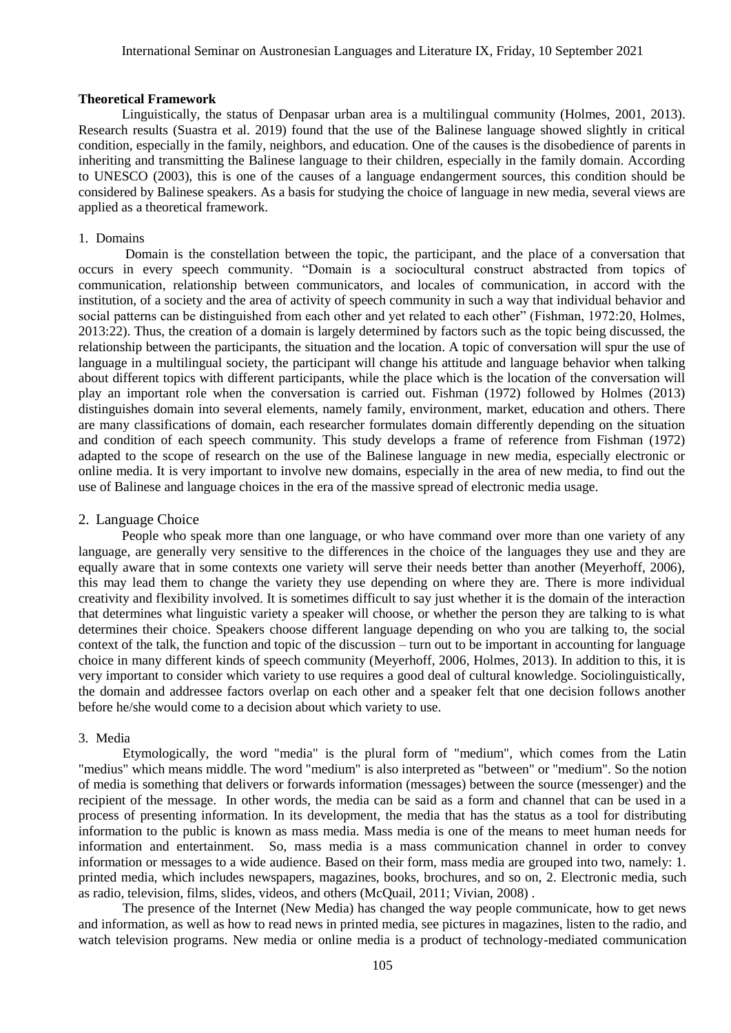#### **Theoretical Framework**

Linguistically, the status of Denpasar urban area is a multilingual community (Holmes, 2001, 2013). Research results (Suastra et al. 2019) found that the use of the Balinese language showed slightly in critical condition, especially in the family, neighbors, and education. One of the causes is the disobedience of parents in inheriting and transmitting the Balinese language to their children, especially in the family domain. According to UNESCO (2003), this is one of the causes of a language endangerment sources, this condition should be considered by Balinese speakers. As a basis for studying the choice of language in new media, several views are applied as a theoretical framework.

# 1. Domains

Domain is the constellation between the topic, the participant, and the place of a conversation that occurs in every speech community. "Domain is a sociocultural construct abstracted from topics of communication, relationship between communicators, and locales of communication, in accord with the institution, of a society and the area of activity of speech community in such a way that individual behavior and social patterns can be distinguished from each other and yet related to each other" (Fishman, 1972:20, Holmes, 2013:22). Thus, the creation of a domain is largely determined by factors such as the topic being discussed, the relationship between the participants, the situation and the location. A topic of conversation will spur the use of language in a multilingual society, the participant will change his attitude and language behavior when talking about different topics with different participants, while the place which is the location of the conversation will play an important role when the conversation is carried out. Fishman (1972) followed by Holmes (2013) distinguishes domain into several elements, namely family, environment, market, education and others. There are many classifications of domain, each researcher formulates domain differently depending on the situation and condition of each speech community. This study develops a frame of reference from Fishman (1972) adapted to the scope of research on the use of the Balinese language in new media, especially electronic or online media. It is very important to involve new domains, especially in the area of new media, to find out the use of Balinese and language choices in the era of the massive spread of electronic media usage.

# 2. Language Choice

People who speak more than one language, or who have command over more than one variety of any language, are generally very sensitive to the differences in the choice of the languages they use and they are equally aware that in some contexts one variety will serve their needs better than another (Meyerhoff, 2006), this may lead them to change the variety they use depending on where they are. There is more individual creativity and flexibility involved. It is sometimes difficult to say just whether it is the domain of the interaction that determines what linguistic variety a speaker will choose, or whether the person they are talking to is what determines their choice. Speakers choose different language depending on who you are talking to, the social context of the talk, the function and topic of the discussion – turn out to be important in accounting for language choice in many different kinds of speech community (Meyerhoff, 2006, Holmes, 2013). In addition to this, it is very important to consider which variety to use requires a good deal of cultural knowledge. Sociolinguistically, the domain and addressee factors overlap on each other and a speaker felt that one decision follows another before he/she would come to a decision about which variety to use.

#### 3. Media

Etymologically, the word "media" is the plural form of "medium", which comes from the Latin "medius" which means middle. The word "medium" is also interpreted as "between" or "medium". So the notion of media is something that delivers or forwards information (messages) between the source (messenger) and the recipient of the message. In other words, the media can be said as a form and channel that can be used in a process of presenting information. In its development, the media that has the status as a tool for distributing information to the public is known as mass media. Mass media is one of the means to meet human needs for information and entertainment. So, mass media is a mass communication channel in order to convey information or messages to a wide audience. Based on their form, mass media are grouped into two, namely: 1. printed media, which includes newspapers, magazines, books, brochures, and so on, 2. Electronic media, such as radio, television, films, slides, videos, and others (McQuail, 2011; Vivian, 2008) .

The presence of the Internet (New Media) has changed the way people communicate, how to get news and information, as well as how to read news in printed media, see pictures in magazines, listen to the radio, and watch television programs. New media or online media is a product of technology-mediated communication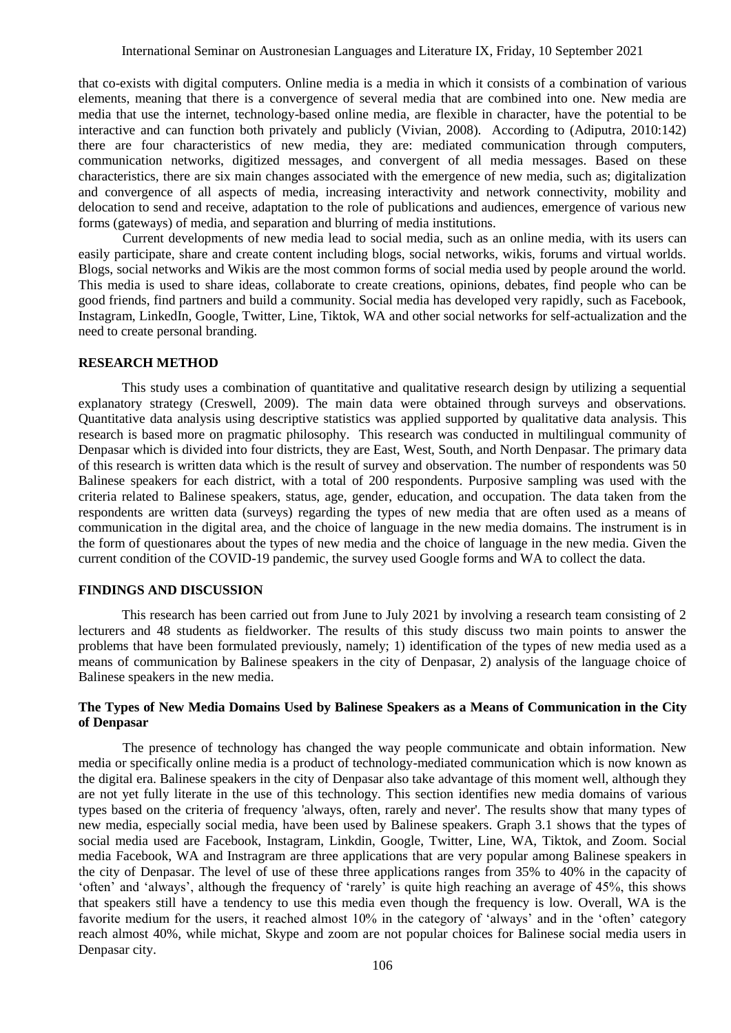that co-exists with digital computers. Online media is a media in which it consists of a combination of various elements, meaning that there is a convergence of several media that are combined into one. New media are media that use the internet, technology-based online media, are flexible in character, have the potential to be interactive and can function both privately and publicly (Vivian, 2008). According to (Adiputra, 2010:142) there are four characteristics of new media, they are: mediated communication through computers, communication networks, digitized messages, and convergent of all media messages. Based on these characteristics, there are six main changes associated with the emergence of new media, such as; digitalization and convergence of all aspects of media, increasing interactivity and network connectivity, mobility and delocation to send and receive, adaptation to the role of publications and audiences, emergence of various new forms (gateways) of media, and separation and blurring of media institutions.

Current developments of new media lead to social media, such as an online media, with its users can easily participate, share and create content including blogs, social networks, wikis, forums and virtual worlds. Blogs, social networks and Wikis are the most common forms of social media used by people around the world. This media is used to share ideas, collaborate to create creations, opinions, debates, find people who can be good friends, find partners and build a community. Social media has developed very rapidly, such as Facebook, Instagram, LinkedIn, Google, Twitter, Line, Tiktok, WA and other social networks for self-actualization and the need to create personal branding.

### **RESEARCH METHOD**

This study uses a combination of quantitative and qualitative research design by utilizing a sequential explanatory strategy (Creswell, 2009). The main data were obtained through surveys and observations. Quantitative data analysis using descriptive statistics was applied supported by qualitative data analysis. This research is based more on pragmatic philosophy. This research was conducted in multilingual community of Denpasar which is divided into four districts, they are East, West, South, and North Denpasar. The primary data of this research is written data which is the result of survey and observation. The number of respondents was 50 Balinese speakers for each district, with a total of 200 respondents. Purposive sampling was used with the criteria related to Balinese speakers, status, age, gender, education, and occupation. The data taken from the respondents are written data (surveys) regarding the types of new media that are often used as a means of communication in the digital area, and the choice of language in the new media domains. The instrument is in the form of questionares about the types of new media and the choice of language in the new media. Given the current condition of the COVID-19 pandemic, the survey used Google forms and WA to collect the data.

#### **FINDINGS AND DISCUSSION**

This research has been carried out from June to July 2021 by involving a research team consisting of 2 lecturers and 48 students as fieldworker. The results of this study discuss two main points to answer the problems that have been formulated previously, namely; 1) identification of the types of new media used as a means of communication by Balinese speakers in the city of Denpasar, 2) analysis of the language choice of Balinese speakers in the new media.

## **The Types of New Media Domains Used by Balinese Speakers as a Means of Communication in the City of Denpasar**

The presence of technology has changed the way people communicate and obtain information. New media or specifically online media is a product of technology-mediated communication which is now known as the digital era. Balinese speakers in the city of Denpasar also take advantage of this moment well, although they are not yet fully literate in the use of this technology. This section identifies new media domains of various types based on the criteria of frequency 'always, often, rarely and never'. The results show that many types of new media, especially social media, have been used by Balinese speakers. Graph 3.1 shows that the types of social media used are Facebook, Instagram, Linkdin, Google, Twitter, Line, WA, Tiktok, and Zoom. Social media Facebook, WA and Instragram are three applications that are very popular among Balinese speakers in the city of Denpasar. The level of use of these three applications ranges from 35% to 40% in the capacity of 'often' and 'always', although the frequency of 'rarely' is quite high reaching an average of 45%, this shows that speakers still have a tendency to use this media even though the frequency is low. Overall, WA is the favorite medium for the users, it reached almost 10% in the category of 'always' and in the 'often' category reach almost 40%, while michat, Skype and zoom are not popular choices for Balinese social media users in Denpasar city.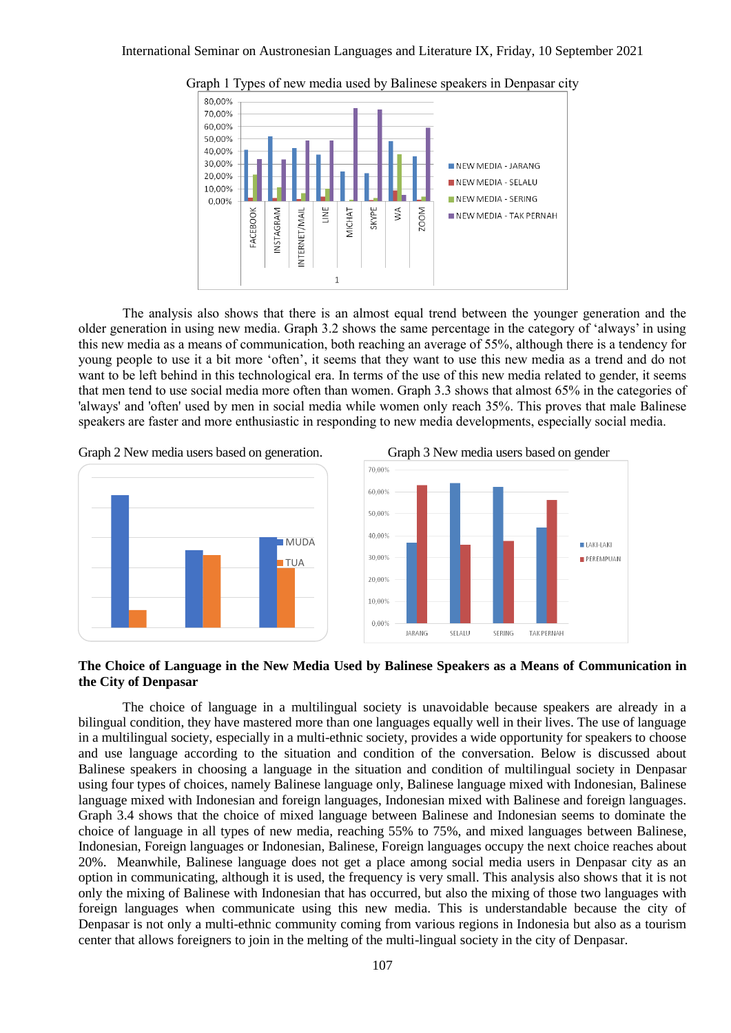

Graph 1 Types of new media used by Balinese speakers in Denpasar city

The analysis also shows that there is an almost equal trend between the younger generation and the older generation in using new media. Graph 3.2 shows the same percentage in the category of 'always' in using this new media as a means of communication, both reaching an average of 55%, although there is a tendency for young people to use it a bit more 'often', it seems that they want to use this new media as a trend and do not want to be left behind in this technological era. In terms of the use of this new media related to gender, it seems that men tend to use social media more often than women. Graph 3.3 shows that almost 65% in the categories of 'always' and 'often' used by men in social media while women only reach 35%. This proves that male Balinese speakers are faster and more enthusiastic in responding to new media developments, especially social media.







### **The Choice of Language in the New Media Used by Balinese Speakers as a Means of Communication in the City of Denpasar**

The choice of language in a multilingual society is unavoidable because speakers are already in a bilingual condition, they have mastered more than one languages equally well in their lives. The use of language in a multilingual society, especially in a multi-ethnic society, provides a wide opportunity for speakers to choose and use language according to the situation and condition of the conversation. Below is discussed about Balinese speakers in choosing a language in the situation and condition of multilingual society in Denpasar using four types of choices, namely Balinese language only, Balinese language mixed with Indonesian, Balinese language mixed with Indonesian and foreign languages, Indonesian mixed with Balinese and foreign languages. Graph 3.4 shows that the choice of mixed language between Balinese and Indonesian seems to dominate the choice of language in all types of new media, reaching 55% to 75%, and mixed languages between Balinese, Indonesian, Foreign languages or Indonesian, Balinese, Foreign languages occupy the next choice reaches about 20%. Meanwhile, Balinese language does not get a place among social media users in Denpasar city as an option in communicating, although it is used, the frequency is very small. This analysis also shows that it is not only the mixing of Balinese with Indonesian that has occurred, but also the mixing of those two languages with foreign languages when communicate using this new media. This is understandable because the city of Denpasar is not only a multi-ethnic community coming from various regions in Indonesia but also as a tourism center that allows foreigners to join in the melting of the multi-lingual society in the city of Denpasar.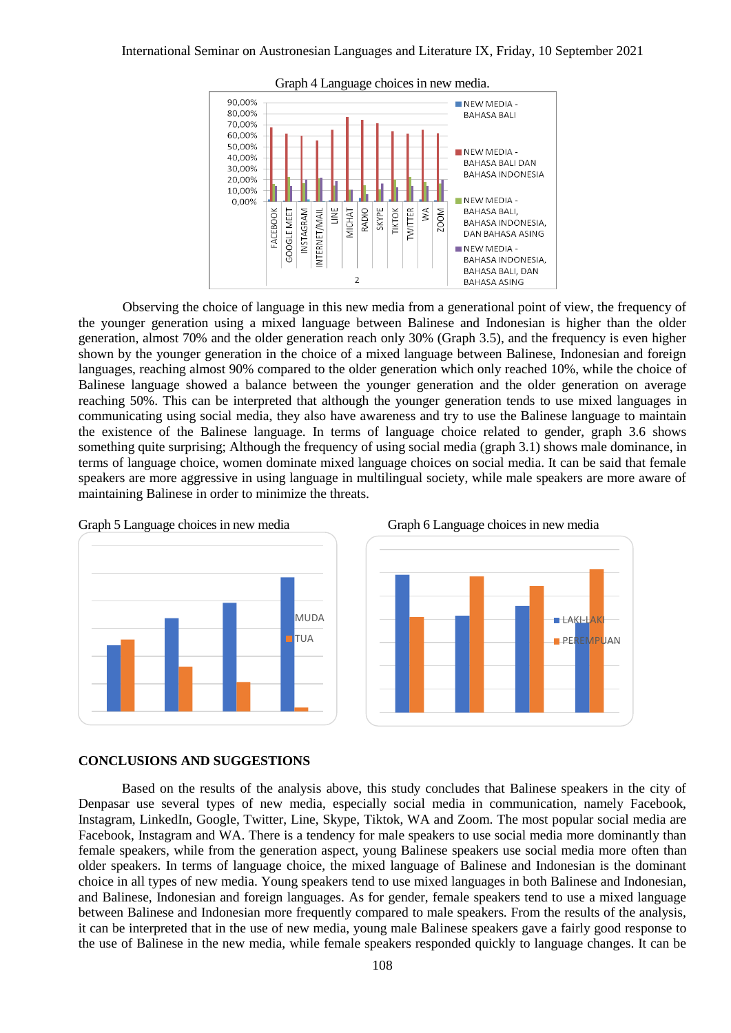#### International Seminar on Austronesian Languages and Literature IX, Friday, 10 September 2021



Graph 4 Language choices in new media.

Observing the choice of language in this new media from a generational point of view, the frequency of the younger generation using a mixed language between Balinese and Indonesian is higher than the older generation, almost 70% and the older generation reach only 30% (Graph 3.5), and the frequency is even higher shown by the younger generation in the choice of a mixed language between Balinese, Indonesian and foreign languages, reaching almost 90% compared to the older generation which only reached 10%, while the choice of Balinese language showed a balance between the younger generation and the older generation on average reaching 50%. This can be interpreted that although the younger generation tends to use mixed languages in communicating using social media, they also have awareness and try to use the Balinese language to maintain the existence of the Balinese language. In terms of language choice related to gender, graph 3.6 shows something quite surprising; Although the frequency of using social media (graph 3.1) shows male dominance, in terms of language choice, women dominate mixed language choices on social media. It can be said that female speakers are more aggressive in using language in multilingual society, while male speakers are more aware of maintaining Balinese in order to minimize the threats.



#### **CONCLUSIONS AND SUGGESTIONS**

Based on the results of the analysis above, this study concludes that Balinese speakers in the city of Denpasar use several types of new media, especially social media in communication, namely Facebook, Instagram, LinkedIn, Google, Twitter, Line, Skype, Tiktok, WA and Zoom. The most popular social media are Facebook, Instagram and WA. There is a tendency for male speakers to use social media more dominantly than female speakers, while from the generation aspect, young Balinese speakers use social media more often than older speakers. In terms of language choice, the mixed language of Balinese and Indonesian is the dominant choice in all types of new media. Young speakers tend to use mixed languages in both Balinese and Indonesian, and Balinese, Indonesian and foreign languages. As for gender, female speakers tend to use a mixed language between Balinese and Indonesian more frequently compared to male speakers. From the results of the analysis, it can be interpreted that in the use of new media, young male Balinese speakers gave a fairly good response to the use of Balinese in the new media, while female speakers responded quickly to language changes. It can be